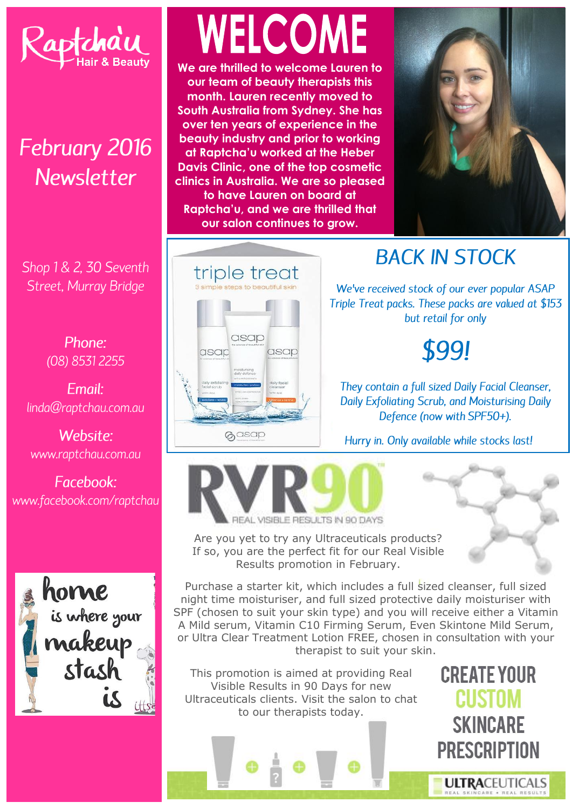

## **February 2016** Newsletter

Shop 1 & 2, 30 Seventh Street, Murray Bridge

> Phone:  $(08)$  8531 2255

Fmail: linda@raptchau.com.au

Website: www.raptchau.com.au

Facebook: www.facebook.com/raptchau



# WELCOME

We are thrilled to welcome Lauren to our team of beauty therapists this month. Lauren recently moved to South Australia from Sydney. She has over ten vears of experience in the beauty industry and prior to working at Raptcha'u worked at the Heber Davis Clinic, one of the top cosmetic clinics in Australia. We are so pleased to have Lauren on board at Raptcha'u, and we are thrilled that our salon continues to grow.



# triple treat asap asap asap **G**asap

### **BACK IN STOCK**

We've received stock of our ever popular ASAP Triple Treat packs. These packs are valued at \$153 but retail for only

\$99!

They contain a full sized Daily Facial Cleanser, Daily Exfoliating Scrub, and Moisturising Daily Defence (now with SPF50+).

Hurry in. Only available while stocks last!



ISIBLE RESULTS IN 90 DAYS

Are you yet to try any Ultraceuticals products? If so, you are the perfect fit for our Real Visible Results promotion in February.

Purchase a starter kit, which includes a full sized cleanser, full sized night time moisturiser, and full sized protective daily moisturiser with SPF (chosen to suit your skin type) and you will receive either a Vitamin A Mild serum, Vitamin C10 Firming Serum, Even Skintone Mild Serum, or Ultra Clear Treatment Lotion FREE, chosen in consultation with your therapist to suit your skin.

This promotion is aimed at providing Real Visible Results in 90 Days for new Ultraceuticals clients. Visit the salon to chat to our therapists today.

**CREATE YOUR CUSTOM SKINCARE PRESCRIPTION** 

**ULTRACEUTICALS**